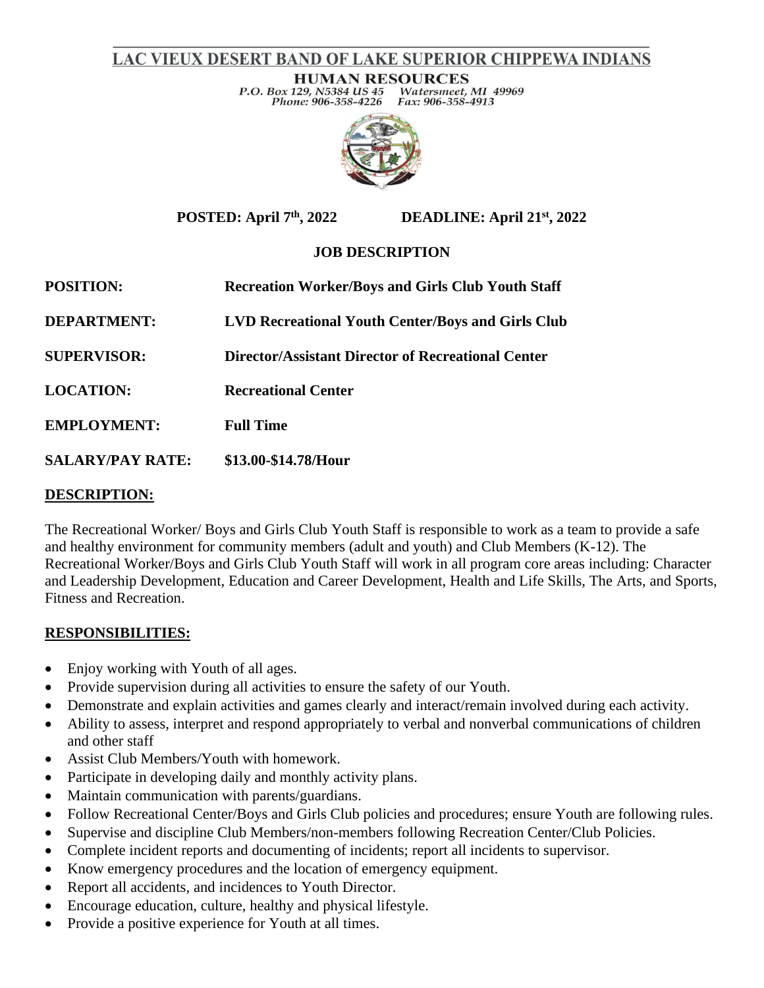# LAC VIEUX DESERT BAND OF LAKE SUPERIOR CHIPPEWA INDIANS

**HUMAN RESOURCES** P.O. Box 129, N5384 US 45 Watersmeet, MI 49969 Phone: 906-358-4226 Fax: 906-358-4913



**POSTED: April 7th, 2022 DEADLINE: April 21st, 2022**

## **JOB DESCRIPTION**

| <b>POSITION:</b>        | <b>Recreation Worker/Boys and Girls Club Youth Staff</b> |
|-------------------------|----------------------------------------------------------|
| <b>DEPARTMENT:</b>      | <b>LVD Recreational Youth Center/Boys and Girls Club</b> |
| <b>SUPERVISOR:</b>      | Director/Assistant Director of Recreational Center       |
| <b>LOCATION:</b>        | <b>Recreational Center</b>                               |
| <b>EMPLOYMENT:</b>      | <b>Full Time</b>                                         |
| <b>SALARY/PAY RATE:</b> | \$13.00-\$14.78/Hour                                     |
|                         |                                                          |

#### **DESCRIPTION:**

The Recreational Worker/ Boys and Girls Club Youth Staff is responsible to work as a team to provide a safe and healthy environment for community members (adult and youth) and Club Members (K-12). The Recreational Worker/Boys and Girls Club Youth Staff will work in all program core areas including: Character and Leadership Development, Education and Career Development, Health and Life Skills, The Arts, and Sports, Fitness and Recreation.

#### **RESPONSIBILITIES:**

- Enjoy working with Youth of all ages.
- Provide supervision during all activities to ensure the safety of our Youth.
- Demonstrate and explain activities and games clearly and interact/remain involved during each activity.
- Ability to assess, interpret and respond appropriately to verbal and nonverbal communications of children and other staff
- Assist Club Members/Youth with homework.
- Participate in developing daily and monthly activity plans.
- Maintain communication with parents/guardians.
- Follow Recreational Center/Boys and Girls Club policies and procedures; ensure Youth are following rules.
- Supervise and discipline Club Members/non-members following Recreation Center/Club Policies.
- Complete incident reports and documenting of incidents; report all incidents to supervisor.
- Know emergency procedures and the location of emergency equipment.
- Report all accidents, and incidences to Youth Director.
- Encourage education, culture, healthy and physical lifestyle.
- Provide a positive experience for Youth at all times.